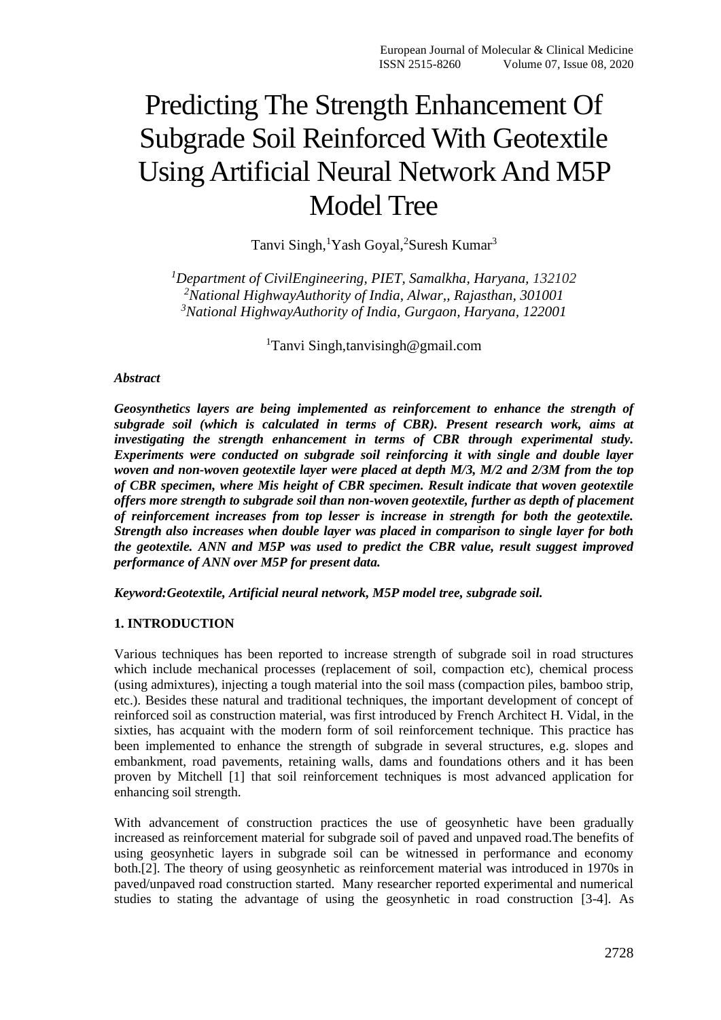# Predicting The Strength Enhancement Of Subgrade Soil Reinforced With Geotextile Using Artificial Neural Network And M5P Model Tree

Tanvi Singh, <sup>1</sup>Yash Goyal, <sup>2</sup>Suresh Kumar<sup>3</sup>

*<sup>1</sup>Department of CivilEngineering, PIET, Samalkha, Haryana, 132102 <sup>2</sup>National HighwayAuthority of India, Alwar,, Rajasthan, 301001 <sup>3</sup>National HighwayAuthority of India, Gurgaon, Haryana, 122001*

<sup>1</sup>Tanvi Singh,tanvisingh@gmail.com

## *Abstract*

*Geosynthetics layers are being implemented as reinforcement to enhance the strength of subgrade soil (which is calculated in terms of CBR). Present research work, aims at investigating the strength enhancement in terms of CBR through experimental study. Experiments were conducted on subgrade soil reinforcing it with single and double layer woven and non-woven geotextile layer were placed at depth M/3, M/2 and 2/3M from the top of CBR specimen, where Mis height of CBR specimen. Result indicate that woven geotextile offers more strength to subgrade soil than non-woven geotextile, further as depth of placement of reinforcement increases from top lesser is increase in strength for both the geotextile. Strength also increases when double layer was placed in comparison to single layer for both the geotextile. ANN and M5P was used to predict the CBR value, result suggest improved performance of ANN over M5P for present data.*

*Keyword:Geotextile, Artificial neural network, M5P model tree, subgrade soil.*

# **1. INTRODUCTION**

Various techniques has been reported to increase strength of subgrade soil in road structures which include mechanical processes (replacement of soil, compaction etc), chemical process (using admixtures), injecting a tough material into the soil mass (compaction piles, bamboo strip, etc.). Besides these natural and traditional techniques, the important development of concept of reinforced soil as construction material, was first introduced by French Architect H. Vidal, in the sixties, has acquaint with the modern form of soil reinforcement technique. This practice has been implemented to enhance the strength of subgrade in several structures, e.g. slopes and embankment, road pavements, retaining walls, dams and foundations others and it has been proven by Mitchell [1] that soil reinforcement techniques is most advanced application for enhancing soil strength.

With advancement of construction practices the use of geosynhetic have been gradually increased as reinforcement material for subgrade soil of paved and unpaved road.The benefits of using geosynhetic layers in subgrade soil can be witnessed in performance and economy both.[2]. The theory of using geosynhetic as reinforcement material was introduced in 1970s in paved/unpaved road construction started. Many researcher reported experimental and numerical studies to stating the advantage of using the geosynhetic in road construction [3-4]. As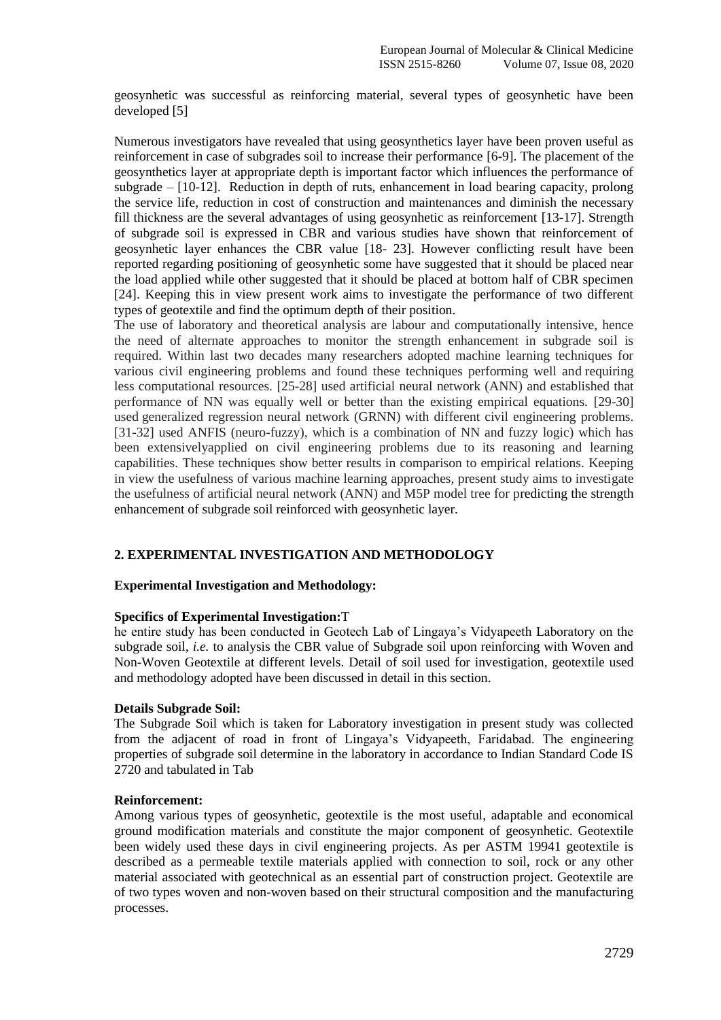geosynhetic was successful as reinforcing material, several types of geosynhetic have been developed [5]

Numerous investigators have revealed that using geosynthetics layer have been proven useful as reinforcement in case of subgrades soil to increase their performance [6-9]. The placement of the geosynthetics layer at appropriate depth is important factor which influences the performance of subgrade  $-$  [10-12]. Reduction in depth of ruts, enhancement in load bearing capacity, prolong the service life, reduction in cost of construction and maintenances and diminish the necessary fill thickness are the several advantages of using geosynhetic as reinforcement [13-17]. Strength of subgrade soil is expressed in CBR and various studies have shown that reinforcement of geosynhetic layer enhances the CBR value [18- 23]. However conflicting result have been reported regarding positioning of geosynhetic some have suggested that it should be placed near the load applied while other suggested that it should be placed at bottom half of CBR specimen [24]. Keeping this in view present work aims to investigate the performance of two different types of geotextile and find the optimum depth of their position.

The use of laboratory and theoretical analysis are labour and computationally intensive, hence the need of alternate approaches to monitor the strength enhancement in subgrade soil is required. Within last two decades many researchers adopted machine learning techniques for various civil engineering problems and found these techniques performing well and requiring less computational resources. [25-28] used artificial neural network (ANN) and established that performance of NN was equally well or better than the existing empirical equations. [29-30] used generalized regression neural network (GRNN) with different civil engineering problems. [31-32] used ANFIS (neuro-fuzzy), which is a combination of NN and fuzzy logic) which has been extensivelyapplied on civil engineering problems due to its reasoning and learning capabilities. These techniques show better results in comparison to empirical relations. Keeping in view the usefulness of various machine learning approaches, present study aims to investigate the usefulness of artificial neural network (ANN) and M5P model tree for predicting the strength enhancement of subgrade soil reinforced with geosynhetic layer.

# **2. EXPERIMENTAL INVESTIGATION AND METHODOLOGY**

#### **Experimental Investigation and Methodology:**

#### **Specifics of Experimental Investigation:**T

he entire study has been conducted in Geotech Lab of Lingaya's Vidyapeeth Laboratory on the subgrade soil, *i.e.* to analysis the CBR value of Subgrade soil upon reinforcing with Woven and Non-Woven Geotextile at different levels. Detail of soil used for investigation, geotextile used and methodology adopted have been discussed in detail in this section.

#### **Details Subgrade Soil:**

The Subgrade Soil which is taken for Laboratory investigation in present study was collected from the adjacent of road in front of Lingaya's Vidyapeeth, Faridabad. The engineering properties of subgrade soil determine in the laboratory in accordance to Indian Standard Code IS 2720 and tabulated in Tab

#### **Reinforcement:**

Among various types of geosynhetic, geotextile is the most useful, adaptable and economical ground modification materials and constitute the major component of geosynhetic. Geotextile been widely used these days in civil engineering projects. As per ASTM 19941 geotextile is described as a permeable textile materials applied with connection to soil, rock or any other material associated with geotechnical as an essential part of construction project. Geotextile are of two types woven and non-woven based on their structural composition and the manufacturing processes.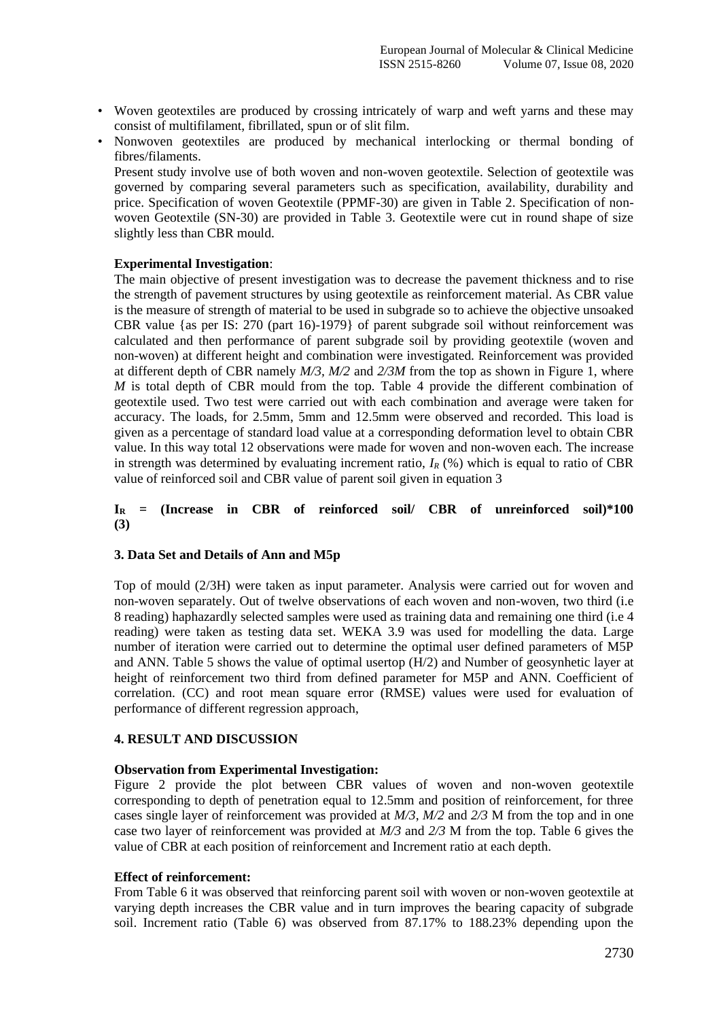- Woven geotextiles are produced by crossing intricately of warp and weft yarns and these may consist of multifilament, fibrillated, spun or of slit film.
- Nonwoven geotextiles are produced by mechanical interlocking or thermal bonding of fibres/filaments.

Present study involve use of both woven and non-woven geotextile. Selection of geotextile was governed by comparing several parameters such as specification, availability, durability and price. Specification of woven Geotextile (PPMF-30) are given in Table 2. Specification of nonwoven Geotextile (SN-30) are provided in Table 3. Geotextile were cut in round shape of size slightly less than CBR mould.

## **Experimental Investigation**:

The main objective of present investigation was to decrease the pavement thickness and to rise the strength of pavement structures by using geotextile as reinforcement material. As CBR value is the measure of strength of material to be used in subgrade so to achieve the objective unsoaked CBR value {as per IS: 270 (part 16)-1979} of parent subgrade soil without reinforcement was calculated and then performance of parent subgrade soil by providing geotextile (woven and non-woven) at different height and combination were investigated. Reinforcement was provided at different depth of CBR namely *M/3, M/2* and *2/3M* from the top as shown in Figure 1, where *M* is total depth of CBR mould from the top. Table 4 provide the different combination of geotextile used. Two test were carried out with each combination and average were taken for accuracy. The loads, for 2.5mm, 5mm and 12.5mm were observed and recorded. This load is given as a percentage of standard load value at a corresponding deformation level to obtain CBR value. In this way total 12 observations were made for woven and non-woven each. The increase in strength was determined by evaluating increment ratio,  $I_R$  (%) which is equal to ratio of CBR value of reinforced soil and CBR value of parent soil given in equation 3

## **I<sup>R</sup> = (Increase in CBR of reinforced soil/ CBR of unreinforced soil)\*100 (3)**

#### **3. Data Set and Details of Ann and M5p**

Top of mould (2/3H) were taken as input parameter. Analysis were carried out for woven and non-woven separately. Out of twelve observations of each woven and non-woven, two third (i.e 8 reading) haphazardly selected samples were used as training data and remaining one third (i.e 4 reading) were taken as testing data set. WEKA 3.9 was used for modelling the data. Large number of iteration were carried out to determine the optimal user defined parameters of M5P and ANN. Table 5 shows the value of optimal usertop  $(H/2)$  and Number of geosynhetic layer at height of reinforcement two third from defined parameter for M5P and ANN. Coefficient of correlation. (CC) and root mean square error (RMSE) values were used for evaluation of performance of different regression approach,

# **4. RESULT AND DISCUSSION**

#### **Observation from Experimental Investigation:**

Figure 2 provide the plot between CBR values of woven and non-woven geotextile corresponding to depth of penetration equal to 12.5mm and position of reinforcement, for three cases single layer of reinforcement was provided at *M/3*, *M/2* and *2/3* M from the top and in one case two layer of reinforcement was provided at *M/3* and *2/3* M from the top. Table 6 gives the value of CBR at each position of reinforcement and Increment ratio at each depth.

#### **Effect of reinforcement:**

From Table 6 it was observed that reinforcing parent soil with woven or non-woven geotextile at varying depth increases the CBR value and in turn improves the bearing capacity of subgrade soil. Increment ratio (Table 6) was observed from 87.17% to 188.23% depending upon the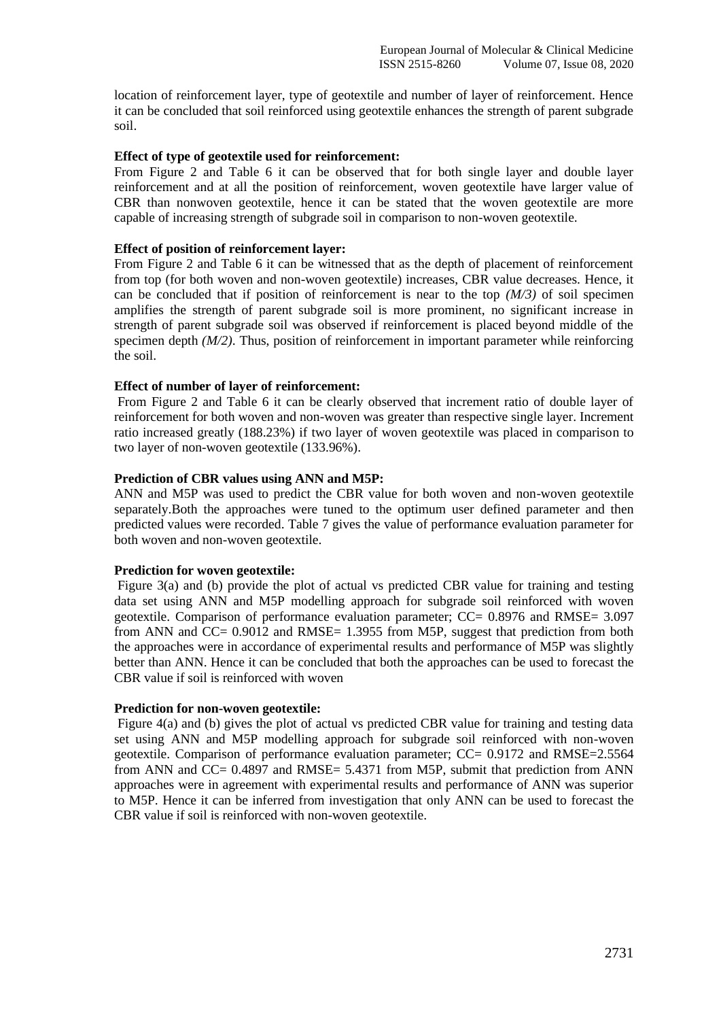location of reinforcement layer, type of geotextile and number of layer of reinforcement. Hence it can be concluded that soil reinforced using geotextile enhances the strength of parent subgrade soil.

#### **Effect of type of geotextile used for reinforcement:**

From Figure 2 and Table 6 it can be observed that for both single layer and double layer reinforcement and at all the position of reinforcement, woven geotextile have larger value of CBR than nonwoven geotextile, hence it can be stated that the woven geotextile are more capable of increasing strength of subgrade soil in comparison to non-woven geotextile.

### **Effect of position of reinforcement layer:**

From Figure 2 and Table 6 it can be witnessed that as the depth of placement of reinforcement from top (for both woven and non-woven geotextile) increases, CBR value decreases. Hence, it can be concluded that if position of reinforcement is near to the top  $(M/3)$  of soil specimen amplifies the strength of parent subgrade soil is more prominent, no significant increase in strength of parent subgrade soil was observed if reinforcement is placed beyond middle of the specimen depth *(M/2)*. Thus, position of reinforcement in important parameter while reinforcing the soil.

## **Effect of number of layer of reinforcement:**

From Figure 2 and Table 6 it can be clearly observed that increment ratio of double layer of reinforcement for both woven and non-woven was greater than respective single layer. Increment ratio increased greatly (188.23%) if two layer of woven geotextile was placed in comparison to two layer of non-woven geotextile (133.96%).

## **Prediction of CBR values using ANN and M5P:**

ANN and M5P was used to predict the CBR value for both woven and non-woven geotextile separately.Both the approaches were tuned to the optimum user defined parameter and then predicted values were recorded. Table 7 gives the value of performance evaluation parameter for both woven and non-woven geotextile.

#### **Prediction for woven geotextile:**

Figure 3(a) and (b) provide the plot of actual vs predicted CBR value for training and testing data set using ANN and M5P modelling approach for subgrade soil reinforced with woven geotextile. Comparison of performance evaluation parameter; CC= 0.8976 and RMSE= 3.097 from ANN and CC= 0.9012 and RMSE= 1.3955 from M5P, suggest that prediction from both the approaches were in accordance of experimental results and performance of M5P was slightly better than ANN. Hence it can be concluded that both the approaches can be used to forecast the CBR value if soil is reinforced with woven

#### **Prediction for non-woven geotextile:**

Figure 4(a) and (b) gives the plot of actual vs predicted CBR value for training and testing data set using ANN and M5P modelling approach for subgrade soil reinforced with non-woven geotextile. Comparison of performance evaluation parameter; CC= 0.9172 and RMSE=2.5564 from ANN and CC= 0.4897 and RMSE= 5.4371 from M5P, submit that prediction from ANN approaches were in agreement with experimental results and performance of ANN was superior to M5P. Hence it can be inferred from investigation that only ANN can be used to forecast the CBR value if soil is reinforced with non-woven geotextile.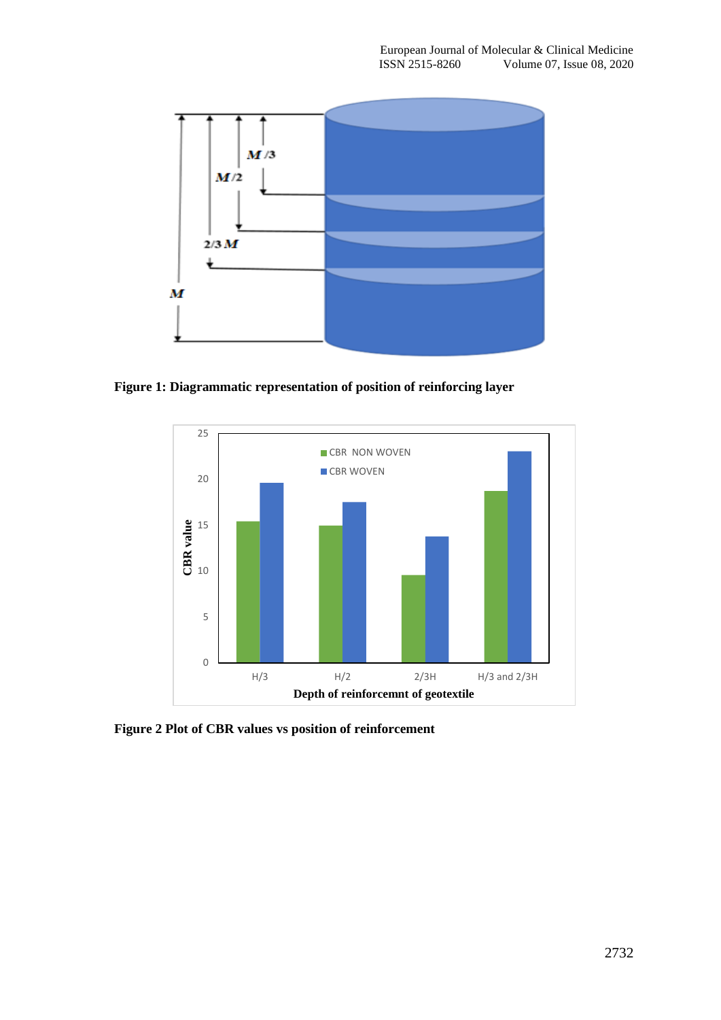

**Figure 1: Diagrammatic representation of position of reinforcing layer** 



**Figure 2 Plot of CBR values vs position of reinforcement**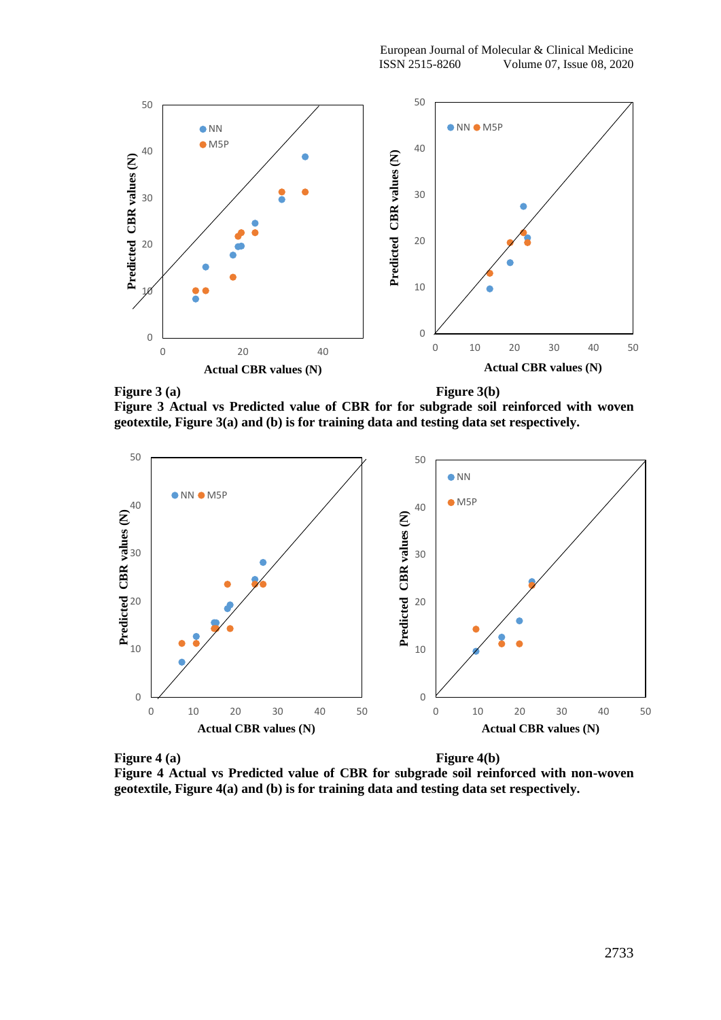

**Figure 3(a) Figure 3(b)** 

**Figure 3 Actual vs Predicted value of CBR for for subgrade soil reinforced with woven geotextile, Figure 3(a) and (b) is for training data and testing data set respectively.**



**Figure 4 (a) Figure 4(b) Figure 4 Actual vs Predicted value of CBR for subgrade soil reinforced with non-woven geotextile, Figure 4(a) and (b) is for training data and testing data set respectively.**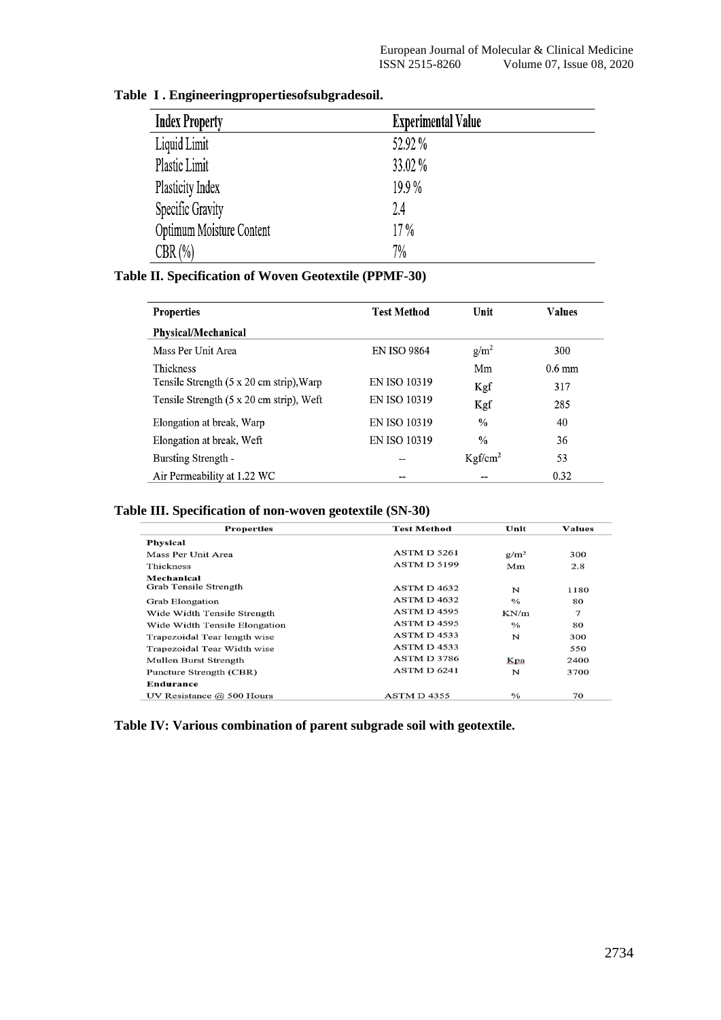| <b>Index Property</b>    | <b>Experimental Value</b> |
|--------------------------|---------------------------|
| Liquid Limit             | 52.92 %                   |
| Plastic Limit            | 33.02 %                   |
| Plasticity Index         | 19.9%                     |
| Specific Gravity         | 2.4                       |
| Optimum Moisture Content | 17%                       |
| $CBR(\%)$                | 7%                        |

# **Table iI . Engineeringpropertiesofsubgradesoil.**

# **Table II. Specification of Woven Geotextile (PPMF-30)**

| <b>Properties</b>                        | <b>Test Method</b>  | Unit                | <b>Values</b>    |  |
|------------------------------------------|---------------------|---------------------|------------------|--|
| Physical/Mechanical                      |                     |                     |                  |  |
| Mass Per Unit Area                       | <b>EN ISO 9864</b>  | g/m <sup>2</sup>    | 300              |  |
| Thickness                                |                     | Mm                  | $0.6 \text{ mm}$ |  |
| Tensile Strength (5 x 20 cm strip), Warp | <b>EN ISO 10319</b> | Kgf                 | 317              |  |
| Tensile Strength (5 x 20 cm strip), Weft | <b>EN ISO 10319</b> | Kgf                 | 285              |  |
| Elongation at break, Warp                | <b>EN ISO 10319</b> | $\frac{0}{0}$       | 40               |  |
| Elongation at break, Weft                | <b>EN ISO 10319</b> | $\frac{0}{0}$       | 36               |  |
| Bursting Strength -                      |                     | Kgf/cm <sup>2</sup> | 53               |  |
| Air Permeability at 1.22 WC              |                     |                     | 0.32             |  |

## **Table III. Specification of non-woven geotextile (SN-30)**

| <b>Properties</b>             | <b>Test Method</b> | Unit               | <b>Values</b> |
|-------------------------------|--------------------|--------------------|---------------|
| <b>Physical</b>               |                    |                    |               |
| Mass Per Unit Area            | ASTM D 5261        | $g/m^2$            | 300           |
| Thickness                     | <b>ASTM D 5199</b> | Mm                 | 2.8           |
| Mechanical                    |                    |                    |               |
| Grab Tensile Strength         | <b>ASTM D 4632</b> | N                  | 1180          |
| <b>Grab Elongation</b>        | <b>ASTM D 4632</b> | $\frac{0}{0}$      | 80            |
| Wide Width Tensile Strength   | ASTM D 4595        | KN/m               | 7             |
| Wide Width Tensile Elongation | ASTM D4595         | $\frac{0}{\alpha}$ | 80            |
| Trapezoidal Tear length wise  | ASTM D4533         | N                  | 300           |
| Trapezoidal Tear Width wise   | ASTM D4533         |                    | 550           |
| Mullen Burst Strength         | ASTM D 3786        | Kpa                | 2400          |
| Puncture Strength (CBR)       | ASTM D 6241        | N                  | 3700          |
| Endurance                     |                    |                    |               |
| UV Resistance $@$ 500 Hours   | ASTM D4355         | $\frac{6}{6}$      | 70            |

**Table IV: Various combination of parent subgrade soil with geotextile.**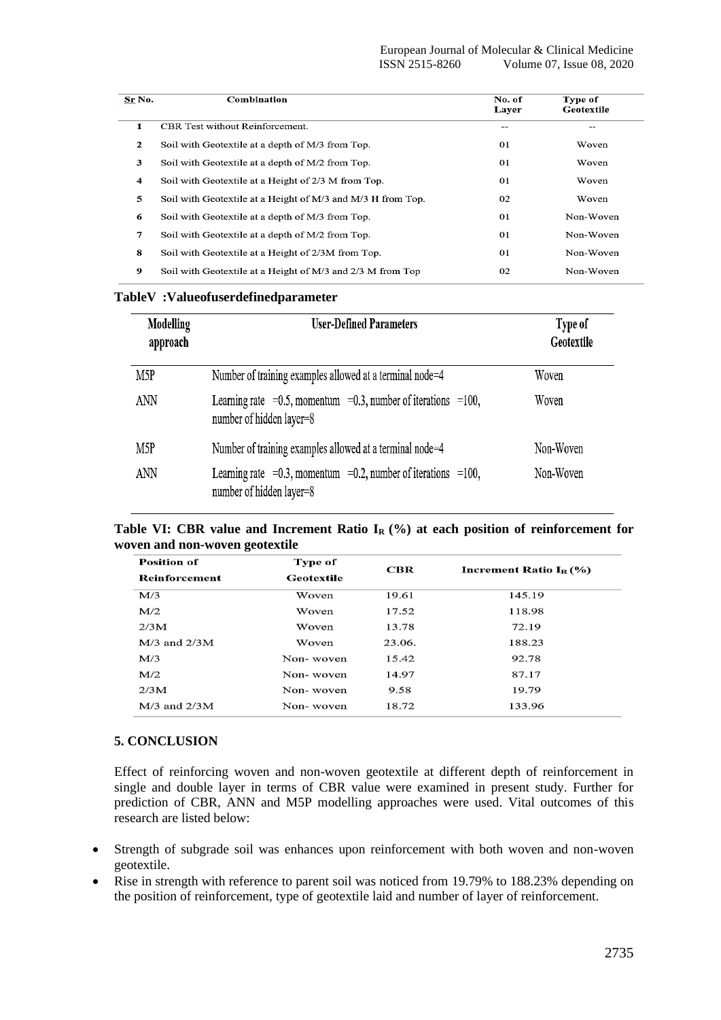| Sr No. | Combination                                                 | No. of<br>Layer | Type of<br>Geotextile |
|--------|-------------------------------------------------------------|-----------------|-----------------------|
| 1      | CBR Test without Reinforcement.                             | --              |                       |
| 2      | Soil with Geotextile at a depth of M/3 from Top.            | 01              | Woven                 |
| 3      | Soil with Geotextile at a depth of M/2 from Top.            | 01              | Woven                 |
| 4      | Soil with Geotextile at a Height of 2/3 M from Top.         | 01              | Woven                 |
| 5      | Soil with Geotextile at a Height of M/3 and M/3 H from Top. | 02              | Woven                 |
| 6      | Soil with Geotextile at a depth of M/3 from Top.            | 0 <sub>1</sub>  | Non-Woven             |
| 7      | Soil with Geotextile at a depth of M/2 from Top.            | 01              | Non-Woven             |
| 8      | Soil with Geotextile at a Height of 2/3M from Top.          | 01              | Non-Woven             |
| 9      | Soil with Geotextile at a Height of M/3 and 2/3 M from Top  | 02              | Non-Woven             |

#### TableV: Valueofuserdefinedparameter

| Modelling<br>approach | <b>User-Defined Parameters</b>                                                                     | Type of<br>Geotextile |  |
|-----------------------|----------------------------------------------------------------------------------------------------|-----------------------|--|
| M <sub>5</sub> P      | Number of training examples allowed at a terminal node=4                                           | Woven                 |  |
| ANN                   | Learning rate $=0.5$ , momentum $=0.3$ , number of iterations $=100$ ,<br>number of hidden layer=8 | Woven                 |  |
| M <sub>5</sub> P      | Number of training examples allowed at a terminal node=4                                           | Non-Woven             |  |
| ANN                   | Learning rate = 0.3, momentum = 0.2, number of iterations = 100,<br>number of hidden layer=8       | Non-Woven             |  |

|  |                                |  |  |  |  | Table VI: CBR value and Increment Ratio $I_R$ (%) at each position of reinforcement for |  |
|--|--------------------------------|--|--|--|--|-----------------------------------------------------------------------------------------|--|
|  | woven and non-woven geotextile |  |  |  |  |                                                                                         |  |

| <b>Position of</b> | Type of    | $_{\bf CBR}$ |                                          |  |  |  |
|--------------------|------------|--------------|------------------------------------------|--|--|--|
| Reinforcement      | Geotextile |              | <b>Increment Ratio I<sub>R</sub></b> (%) |  |  |  |
| M/3                | Woven      | 19.61        | 145.19                                   |  |  |  |
| M/2                | Woven      | 17.52        | 118.98                                   |  |  |  |
| 2/3M               | Woven      | 13.78        | 72.19                                    |  |  |  |
| $M/3$ and $2/3M$   | Woven      | 23.06.       | 188.23                                   |  |  |  |
| M/3                | Non-woven  | 15.42        | 92.78                                    |  |  |  |
| M/2                | Non-woven  | 14.97        | 87.17                                    |  |  |  |
| 2/3M               | Non-woven  | 9.58         | 19.79                                    |  |  |  |
| $M/3$ and $2/3M$   | Non-woven  | 18.72        | 133.96                                   |  |  |  |

## **5. CONCLUSION**

Effect of reinforcing woven and non-woven geotextile at different depth of reinforcement in single and double layer in terms of CBR value were examined in present study. Further for prediction of CBR, ANN and M5P modelling approaches were used. Vital outcomes of this research are listed below:

- Strength of subgrade soil was enhances upon reinforcement with both woven and non-woven geotextile.
- Rise in strength with reference to parent soil was noticed from 19.79% to 188.23% depending on the position of reinforcement, type of geotextile laid and number of layer of reinforcement.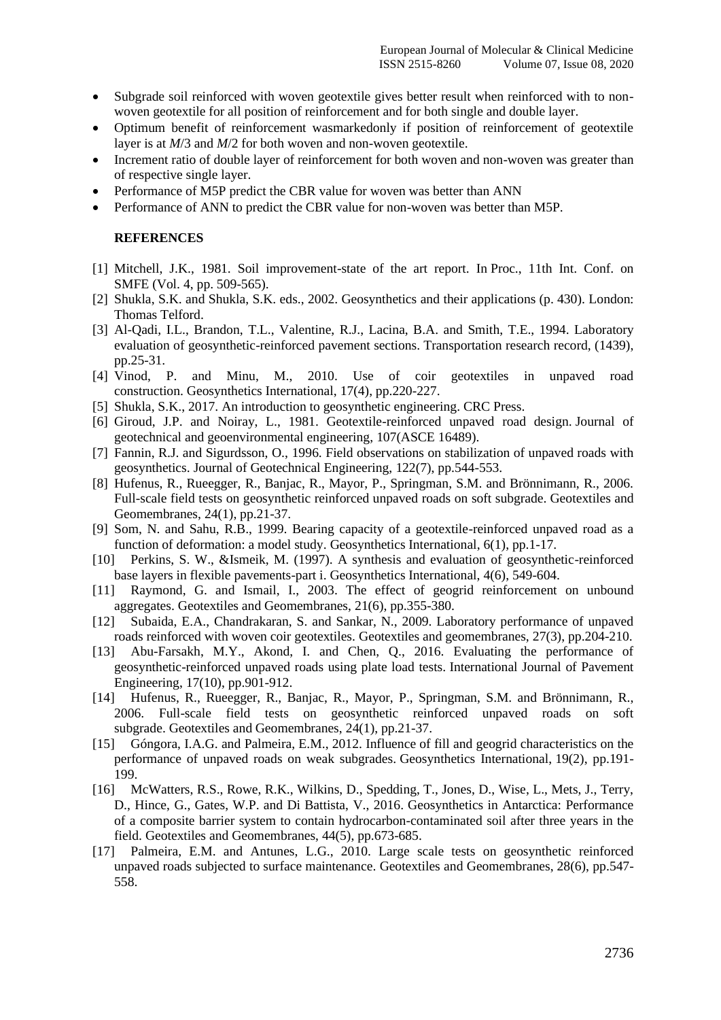- Subgrade soil reinforced with woven geotextile gives better result when reinforced with to nonwoven geotextile for all position of reinforcement and for both single and double layer.
- Optimum benefit of reinforcement wasmarkedonly if position of reinforcement of geotextile layer is at *M*/3 and *M*/2 for both woven and non-woven geotextile.
- Increment ratio of double layer of reinforcement for both woven and non-woven was greater than of respective single layer.
- Performance of M5P predict the CBR value for woven was better than ANN
- Performance of ANN to predict the CBR value for non-woven was better than M5P.

#### **REFERENCES**

- [1] Mitchell, J.K., 1981. Soil improvement-state of the art report. In Proc., 11th Int. Conf. on SMFE (Vol. 4, pp. 509-565).
- [2] Shukla, S.K. and Shukla, S.K. eds., 2002. Geosynthetics and their applications (p. 430). London: Thomas Telford.
- [3] Al-Qadi, I.L., Brandon, T.L., Valentine, R.J., Lacina, B.A. and Smith, T.E., 1994. Laboratory evaluation of geosynthetic-reinforced pavement sections. Transportation research record, (1439), pp.25-31.
- [4] Vinod, P. and Minu, M., 2010. Use of coir geotextiles in unpaved road construction. Geosynthetics International, 17(4), pp.220-227.
- [5] Shukla, S.K., 2017. An introduction to geosynthetic engineering. CRC Press.
- [6] Giroud, J.P. and Noiray, L., 1981. Geotextile-reinforced unpaved road design. Journal of geotechnical and geoenvironmental engineering, 107(ASCE 16489).
- [7] Fannin, R.J. and Sigurdsson, O., 1996. Field observations on stabilization of unpaved roads with geosynthetics. Journal of Geotechnical Engineering, 122(7), pp.544-553.
- [8] Hufenus, R., Rueegger, R., Banjac, R., Mayor, P., Springman, S.M. and Brönnimann, R., 2006. Full-scale field tests on geosynthetic reinforced unpaved roads on soft subgrade. Geotextiles and Geomembranes, 24(1), pp.21-37.
- [9] Som, N. and Sahu, R.B., 1999. Bearing capacity of a geotextile-reinforced unpaved road as a function of deformation: a model study. Geosynthetics International, 6(1), pp.1-17.
- [10] Perkins, S. W., &Ismeik, M. (1997). A synthesis and evaluation of geosynthetic-reinforced base layers in flexible pavements-part i. Geosynthetics International, 4(6), 549-604.
- [11] Raymond, G. and Ismail, I., 2003. The effect of geogrid reinforcement on unbound aggregates. Geotextiles and Geomembranes, 21(6), pp.355-380.
- [12] Subaida, E.A., Chandrakaran, S. and Sankar, N., 2009. Laboratory performance of unpaved roads reinforced with woven coir geotextiles. Geotextiles and geomembranes,  $27(3)$ , pp.204-210.
- [13] Abu-Farsakh, M.Y., Akond, I. and Chen, Q., 2016. Evaluating the performance of geosynthetic-reinforced unpaved roads using plate load tests. International Journal of Pavement Engineering, 17(10), pp.901-912.
- [14] Hufenus, R., Rueegger, R., Banjac, R., Mayor, P., Springman, S.M. and Brönnimann, R., 2006. Full-scale field tests on geosynthetic reinforced unpaved roads on soft subgrade. Geotextiles and Geomembranes, 24(1), pp.21-37.
- [15] Góngora, I.A.G. and Palmeira, E.M., 2012. Influence of fill and geogrid characteristics on the performance of unpaved roads on weak subgrades. Geosynthetics International, 19(2), pp.191- 199.
- [16] McWatters, R.S., Rowe, R.K., Wilkins, D., Spedding, T., Jones, D., Wise, L., Mets, J., Terry, D., Hince, G., Gates, W.P. and Di Battista, V., 2016. Geosynthetics in Antarctica: Performance of a composite barrier system to contain hydrocarbon-contaminated soil after three years in the field. Geotextiles and Geomembranes, 44(5), pp.673-685.
- [17] Palmeira, E.M. and Antunes, L.G., 2010. Large scale tests on geosynthetic reinforced unpaved roads subjected to surface maintenance. Geotextiles and Geomembranes, 28(6), pp.547- 558.